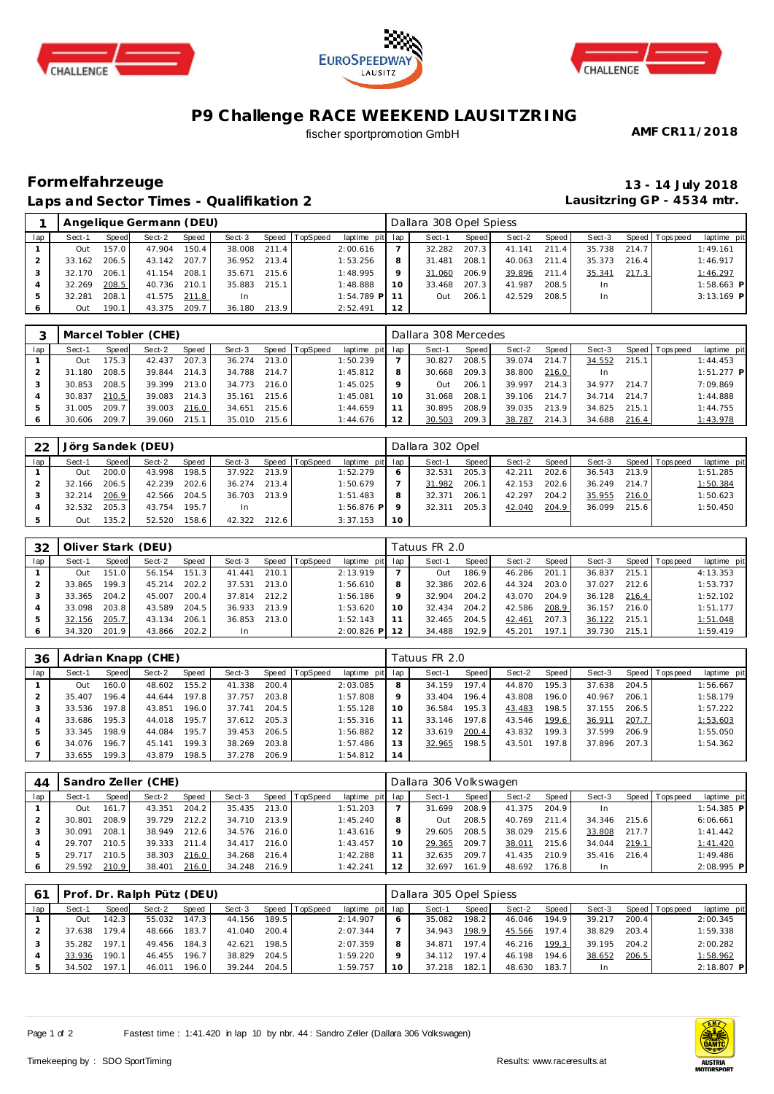





## **P9 Challenge RACE WEEKEND LAUSITZRING**

fischer sportpromotion GmbH

**AMF CR11/2018**

## **Formelfahrzeuge 13 - 14 July 2018 Laps and Sector Times - Qualifikation 2**

**Lausitzring GP - 4534 mtr.**

|     |        |       | Angelique Germann (DEU) |       |        |       |                |                 |         | Dallara 308 Opel Spiess |       |        |       |        |       |                   |              |
|-----|--------|-------|-------------------------|-------|--------|-------|----------------|-----------------|---------|-------------------------|-------|--------|-------|--------|-------|-------------------|--------------|
| lap | Sect-1 | Speed | Sect-2                  | Speed | Sect-3 |       | Speed TopSpeed | laptime pit lap |         | Sect-1                  | Speed | Sect-2 | Speed | Sect-3 |       | Speed   Tops peed | laptime pit  |
|     | Out    | 157.0 | 47.904                  | 150.4 | 38,008 | 211.4 |                | 2:00.616        |         | 32.282                  | 207.3 | 41.141 | 211.4 | 35.738 | 214.7 |                   | 1:49.161     |
|     | 33.162 | 206.5 | 43.142                  | 207.7 | 36.952 | 213.4 |                | 1:53.256        | 8       | 31.481                  | 208.1 | 40.063 | 211.4 | 35.373 | 216.4 |                   | 1:46.917     |
|     | 32.170 | 206.1 | 41.154                  | 208.1 | 35.671 | 215.6 |                | 1:48.995        | $\circ$ | 31.060                  | 206.9 | 39.896 | 211.4 | 35.341 | 217.3 |                   | 1:46.297     |
|     | 32.269 | 208.5 | 40.736                  | 210.1 | 35.883 | 215.1 |                | 1:48.888        | 10      | 33.468                  | 207.3 | 41.987 | 208.5 | In     |       |                   | $1:58.663$ P |
| 5   | 32.281 | 208.1 | 41.575                  | 211.8 | 1n     |       |                | $1:54.789$ P    |         | Out                     | 206.1 | 42.529 | 208.5 | In     |       |                   | $3:13.169$ P |
|     | Out    | 190.  | 43.375                  | 209.7 | 36.180 | 213.9 |                | 2:52.491        | 12      |                         |       |        |       |        |       |                   |              |

|         |        |       | Marcel Tobler (CHE) |       |        |       |          |                 |     | Dallara 308 Mercedes |       |        |         |        |       |                 |              |
|---------|--------|-------|---------------------|-------|--------|-------|----------|-----------------|-----|----------------------|-------|--------|---------|--------|-------|-----------------|--------------|
| lap     | Sect-1 | Speed | Sect-2              | Speed | Sect-3 | Speed | TopSpeed | laptime pit lap |     | Sect-1               | Speed | Sect-2 | Speed I | Sect-3 |       | Speed Tops peed | laptime pit  |
|         | Out    | 175.3 | 42.437              | 207.3 | 36.274 | 213.0 |          | 1:50.239        |     | 30.827               | 208.5 | 39.074 | 214.7   | 34.552 | 215.1 |                 | 1:44.453     |
|         | 31.180 | 208.5 | 39.844              | 214.3 | 34.788 | 214.7 |          | 1:45.812        |     | 30.668               | 209.3 | 38.800 | 216.0   | In.    |       |                 | $1:51.277$ P |
|         | 30.853 | 208.5 | 39.399              | 213.0 | 34.773 | 216.0 |          | 1:45.025        |     | <b>Out</b>           | 206.1 | 39.997 | 214.3   | 34.977 | 214.7 |                 | 7:09.869     |
| 4       | 30.837 | 210.5 | 39.083              | 214.3 | 35.161 | 215.6 |          | 1:45.081        | 1 O | 31.068               | 208.1 | 39.106 | 214.7   | 34.714 | 214.7 |                 | 1:44.888     |
|         | 31.005 | 209.7 | 39.003              | 216.0 | 34.651 | 215.6 |          | 1:44.659        |     | 30.895               | 208.9 | 39.035 | 213.9   | 34.825 | 215.1 |                 | 1:44.755     |
| $\circ$ | 30.606 | 209.7 | 39.060              | 215.1 | 35.010 | 215.6 |          | 1:44.676        |     | 30.503               | 209.3 | 38.787 | 214.3   | 34.688 | 216.4 |                 | 1:43.978     |

| 22  |        |       | Jörg Sandek (DEU) |              |        |       |                |                 |    | Dallara 302 Opel |       |        |       |        |       |                 |             |
|-----|--------|-------|-------------------|--------------|--------|-------|----------------|-----------------|----|------------------|-------|--------|-------|--------|-------|-----------------|-------------|
| lap | Sect-1 | Speed | Sect-2            | <b>Speed</b> | Sect-3 |       | Speed TopSpeed | laptime pit lap |    | Sect-1           | Speed | Sect-2 | Speed | Sect-3 |       | Speed Tops peed | laptime pit |
|     | Out    | 200.0 | 43.998            | 198.5        | 37.922 | 213.9 |                | 1:52.279        | O  | 32.531           | 205.3 | 42.211 | 202.6 | 36.543 | 213.9 |                 | 1:51.285    |
|     | 32.166 | 206.5 | 42.239            | $202.6$ i    | 36.274 | 213.4 |                | 1:50.679        |    | 31.982           | 206.1 | 42.153 | 202.6 | 36.249 | 214.7 |                 | 1:50.384    |
|     | 32.214 | 206.9 | 42.566            | 204.5        | 36.703 | 213.9 |                | 1:51.483        | 8  | 32.371           | 206.1 | 42.297 | 204.2 | 35.955 | 216.0 |                 | 1:50.623    |
|     | 32.532 | 205.3 | 43.754            | 195.7        | In     |       |                | $1:56.876$ P    |    | 32.311           | 205.3 | 42.040 | 204.9 | 36.099 | 215.6 |                 | 1:50.450    |
|     | Out    | 135.2 | 52.520            | 158.6        | 42.322 | 212.6 |                | 3:37.153        | 10 |                  |       |        |       |        |       |                 |             |

| 32            |        |       | Oliver Stark (DEU) |       |        |       |                |              |         | Tatuus FR 2.0 |       |        |       |        |       |            |             |
|---------------|--------|-------|--------------------|-------|--------|-------|----------------|--------------|---------|---------------|-------|--------|-------|--------|-------|------------|-------------|
| lap           | Sect-1 | Speed | Sect-2             | Speed | Sect-3 |       | Speed TopSpeed | laptime pit  | lap     | Sect-1        | Speed | Sect-2 | Speed | Sect-3 | Speed | Tops pee d | laptime pit |
|               | Out    | 151.0 | 56.154             | 151.3 | 41.441 | 210.1 |                | 2:13.919     |         | Out           | 186.9 | 46.286 | 201   | 36.837 | 215.1 |            | 4:13.353    |
|               | 33.865 | 199.3 | 45.214             | 202.2 | 37.531 | 213.0 |                | 1:56.610     | 8       | 32.386        | 202.6 | 44.324 | 203.0 | 37.027 | 212.6 |            | 1:53.737    |
|               | 33.365 | 204.2 | 45.007             | 200.4 | 37.814 | 212.2 |                | 1:56.186     | $\circ$ | 32.904        | 204.2 | 43.070 | 204.9 | 36.128 | 216.4 |            | 1:52.102    |
|               | 33.098 | 203.8 | 43.589             | 204.5 | 36.933 | 213.9 |                | 1:53.620     | 10      | 32.434        | 204.2 | 42.586 | 208.9 | 36.157 | 216.0 |            | 1:51.177    |
| $\mathcal{P}$ | 32.156 | 205.7 | 43.134             | 206.1 | 36.853 | 213.0 |                | 1:52.143     |         | 32.465        | 204.5 | 42.461 | 207.3 | 36.122 | 215.1 |            | 1:51.048    |
|               | 34.320 | 201.9 | 43.866             | 202.2 | In     |       |                | $2:00.826$ P | 12      | 34.488        | 192.9 | 45.201 | 197.1 | 39.730 | 215.1 |            | 1:59.419    |

| 36  |        |       | Adrian Knapp (CHE) |       |        |       |                 |                 |    | Tatuus FR 2.0 |       |        |       |        |       |                 |             |
|-----|--------|-------|--------------------|-------|--------|-------|-----------------|-----------------|----|---------------|-------|--------|-------|--------|-------|-----------------|-------------|
| lap | Sect-1 | Speed | Sect-2             | Speed | Sect-3 | Speed | <b>TopSpeed</b> | laptime pit lap |    | Sect-1        | Speed | Sect-2 | Speed | Sect-3 |       | Speed Tops peed | laptime pit |
|     | Out    | 160.0 | 48.602             | 155.2 | 41.338 | 200.4 |                 | 2:03.085        | 8  | 34.159        | 197.4 | 44.870 | 195.3 | 37.638 | 204.5 |                 | 1:56.667    |
|     | 35.407 | 196.4 | 44.644             | 197.8 | 37.757 | 203.8 |                 | 1:57.808        | 9  | 33.404        | 196.4 | 43.808 | 196.0 | 40.967 | 206.1 |                 | 1:58.179    |
|     | 33.536 | 197.8 | 43.851             | 196.0 | 37.741 | 204.5 |                 | 1:55.128        | 10 | 36.584        | 195.3 | 43.483 | 198.5 | 37.155 | 206.5 |                 | 1:57.222    |
|     | 33.686 | 195.3 | 44.018             | 195.7 | 37.612 | 205.3 |                 | 1:55.316        |    | 33.146        | 197.8 | 43.546 | 199.6 | 36.911 | 207.7 |                 | 1:53.603    |
|     | 33.345 | 198.9 | 44.084             | 195.7 | 39.453 | 206.5 |                 | 1:56.882        | 12 | 33.619        | 200.4 | 43.832 | 199.3 | 37.599 | 206.9 |                 | 1:55.050    |
|     | 34.076 | 196.7 | 45.141             | 199.3 | 38.269 | 203.8 |                 | 1:57.486        | 13 | 32.965        | 198.5 | 43.501 | 197.8 | 37.896 | 207.3 |                 | 1:54.362    |
|     | 33.655 | 199.3 | 43.879             | 198.5 | 37.278 | 206.9 |                 | 1:54.812        | 14 |               |       |        |       |        |       |                 |             |

| 44  |        |       | Sandro Zeller (CHE) |       |        |       |                  |                 |    | Dallara 306 Volkswagen |         |        |         |        |       |                |              |
|-----|--------|-------|---------------------|-------|--------|-------|------------------|-----------------|----|------------------------|---------|--------|---------|--------|-------|----------------|--------------|
| lap | Sect-1 | Speed | Sect-2              | Speed | Sect-3 |       | Speed   TopSpeed | laptime pit lap |    | Sect-1                 | Speed I | Sect-2 | Speed I | Sect-3 |       | Speed Topspeed | laptime pit  |
|     | Out    | 161.  | 43.351              | 204.2 | 35.435 | 213.0 |                  | 1:51.203        |    | 31.699                 | 208.9   | 41.375 | 204.9   | In.    |       |                | $1:54.385$ P |
|     | 30.801 | 208.9 | 39.729              | 212.2 | 34.710 | 213.9 |                  | 1:45.240        |    | Out                    | 208.5   | 40.769 | 211.4   | 34.346 | 215.6 |                | 6:06.661     |
|     | 30.091 | 208.1 | 38.949              | 212.6 | 34.576 | 216.0 |                  | 1:43.616        |    | 29.605                 | 208.5   | 38.029 | 215.6   | 33.808 | 217.7 |                | 1:41.442     |
|     | 29.707 | 210.5 | 39.333              | 211.4 | 34.417 | 216.0 |                  | 1:43.457        |    | 29.365                 | 209.7   | 38.011 | 215.6   | 34.044 | 219.1 |                | 1:41.420     |
|     | 29.717 | 210.5 | 38.303              | 216.0 | 34.268 | 216.4 |                  | 1:42.288        |    | 32.635                 | 209.7   | 41.435 | 210.9   | 35.416 | 216.4 |                | 1:49.486     |
| 6   | 29.592 | 210.9 | 38.401              | 216.0 | 34.248 | 216.9 |                  | 1:42.241        | 12 | 32.697                 | 161.9   | 48.692 | 176.8   |        |       |                | 2:08.995 P   |

| -61 |        |       | Prof. Dr. Ralph Pütz (DEU) |       |        |       |                |                 | Dallara 305 Opel Spiess |       |        |       |        |       |                   |              |
|-----|--------|-------|----------------------------|-------|--------|-------|----------------|-----------------|-------------------------|-------|--------|-------|--------|-------|-------------------|--------------|
| lap | Sect-1 | Speed | Sect-2                     | Speed | Sect-3 |       | Speed TopSpeed | laptime pit lap | Sect-1                  | Speed | Sect-2 | Speed | Sect-3 |       | Speed   Tops peed | laptime pit  |
|     | Out    | 142.3 | 55.032                     | 147.3 | 44.156 | 189.5 |                | 2:14.907        | 35.082                  | 198.2 | 46.046 | 194.9 | 39.217 | 200.4 |                   | 2:00.345     |
|     | 37.638 | 1794  | 48.666                     | 183.7 | 41.040 | 200.4 |                | 2:07.344        | 34.943                  | 198.9 | 45.566 | 197.4 | 38.829 | 203.4 |                   | 1:59.338     |
|     | 35.282 | 197.1 | 49.456                     | 184.3 | 42.621 | 198.5 |                | 2:07.359        | 34.871                  | 197.4 | 46.216 | 199.3 | 39.195 | 204.2 |                   | 2:00.282     |
|     | 33.936 | 190.1 | 46.455                     | 196.7 | 38.829 | 204.5 |                | 1:59.220        | 34.112                  | 197.4 | 46.198 | 194.6 | 38.652 | 206.5 |                   | 1:58.962     |
|     | 34.502 | 197.1 | 46.011                     | 196.0 | 39.244 | 204.5 |                | 1:59.757        | 37.218                  | 182.1 | 48.630 | 183.7 | In     |       |                   | $2:18.807$ P |